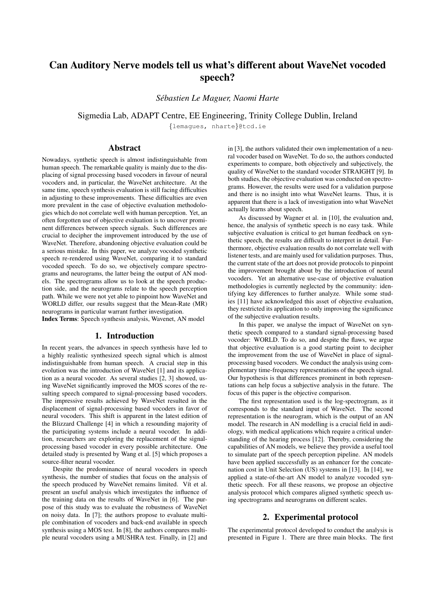# Can Auditory Nerve models tell us what's different about WaveNet vocoded speech?

*Sebastien Le Maguer, Naomi Harte ´*

Sigmedia Lab, ADAPT Centre, EE Engineering, Trinity College Dublin, Ireland

{lemagues, nharte}@tcd.ie

# Abstract

Nowadays, synthetic speech is almost indistinguishable from human speech. The remarkable quality is mainly due to the displacing of signal processing based vocoders in favour of neural vocoders and, in particular, the WaveNet architecture. At the same time, speech synthesis evaluation is still facing difficulties in adjusting to these improvements. These difficulties are even more prevalent in the case of objective evaluation methodologies which do not correlate well with human perception. Yet, an often forgotten use of objective evaluation is to uncover prominent differences between speech signals. Such differences are crucial to decipher the improvement introduced by the use of WaveNet. Therefore, abandoning objective evaluation could be a serious mistake. In this paper, we analyze vocoded synthetic speech re-rendered using WaveNet, comparing it to standard vocoded speech. To do so, we objectively compare spectrograms and neurograms, the latter being the output of AN models. The spectrograms allow us to look at the speech production side, and the neurograms relate to the speech perception path. While we were not yet able to pinpoint how WaveNet and WORLD differ, our results suggest that the Mean-Rate (MR) neurograms in particular warrant further investigation.

Index Terms: Speech synthesis analysis, Wavenet, AN model

# 1. Introduction

In recent years, the advances in speech synthesis have led to a highly realistic synthesized speech signal which is almost indistinguishable from human speech. A crucial step in this evolution was the introduction of WaveNet [1] and its application as a neural vocoder. As several studies [2, 3] showed, using WaveNet significantly improved the MOS scores of the resulting speech compared to signal-processing based vocoders. The impressive results achieved by WaveNet resulted in the displacement of signal-processing based vocoders in favor of neural vocoders. This shift is apparent in the latest edition of the Blizzard Challenge [4] in which a resounding majority of the participating systems include a neural vocoder. In addition, researchers are exploring the replacement of the signalprocessing based vocoder in every possible architecture. One detailed study is presented by Wang et al. [5] which proposes a source-filter neural vocoder.

Despite the predominance of neural vocoders in speech synthesis, the number of studies that focus on the analysis of the speech produced by WaveNet remains limited. Vít et al. present an useful analysis which investigates the influence of the training data on the results of WaveNet in [6]. The purpose of this study was to evaluate the robustness of WaveNet on noisy data. In [7]; the authors propose to evaluate multiple combination of vocoders and back-end available in speech synthesis using a MOS test. In [8], the authors compares multiple neural vocoders using a MUSHRA test. Finally, in [2] and in [3], the authors validated their own implementation of a neural vocoder based on WaveNet. To do so, the authors conducted experiments to compare, both objectively and subjectively, the quality of WaveNet to the standard vocoder STRAIGHT [9]. In both studies, the objective evaluation was conducted on spectrograms. However, the results were used for a validation purpose and there is no insight into what WaveNet learns. Thus, it is apparent that there is a lack of investigation into what WaveNet actually learns about speech.

As discussed by Wagner et al. in [10], the evaluation and, hence, the analysis of synthetic speech is no easy task. While subjective evaluation is critical to get human feedback on synthetic speech, the results are difficult to interpret in detail. Furthermore, objective evaluation results do not correlate well with listener tests, and are mainly used for validation purposes. Thus, the current state of the art does not provide protocols to pinpoint the improvement brought about by the introduction of neural vocoders. Yet an alternative use-case of objective evaluation methodologies is currently neglected by the community: identifying key differences to further analyze. While some studies [11] have acknowledged this asset of objective evaluation, they restricted its application to only improving the significance of the subjective evaluation results.

In this paper, we analyse the impact of WaveNet on synthetic speech compared to a standard signal-processing based vocoder: WORLD. To do so, and despite the flaws, we argue that objective evaluation is a good starting point to decipher the improvement from the use of WaveNet in place of signalprocessing based vocoders. We conduct the analysis using complementary time-frequency representations of the speech signal. Our hypothesis is that differences prominent in both representations can help focus a subjective analysis in the future. The focus of this paper is the objective comparison.

The first representation used is the log-spectrogram, as it corresponds to the standard input of WaveNet. The second representation is the neurogram, which is the output of an AN model. The research in AN modelling is a crucial field in audiology, with medical applications which require a critical understanding of the hearing process [12]. Thereby, considering the capabilities of AN models, we believe they provide a useful tool to simulate part of the speech perception pipeline. AN models have been applied successfully as an enhancer for the concatenation cost in Unit Selection (US) systems in [13]. In [14], we applied a state-of-the-art AN model to analyze vocoded synthetic speech. For all these reasons, we propose an objective analysis protocol which compares aligned synthetic speech using spectrograms and neurograms on different scales.

# 2. Experimental protocol

The experimental protocol developed to conduct the analysis is presented in Figure 1. There are three main blocks. The first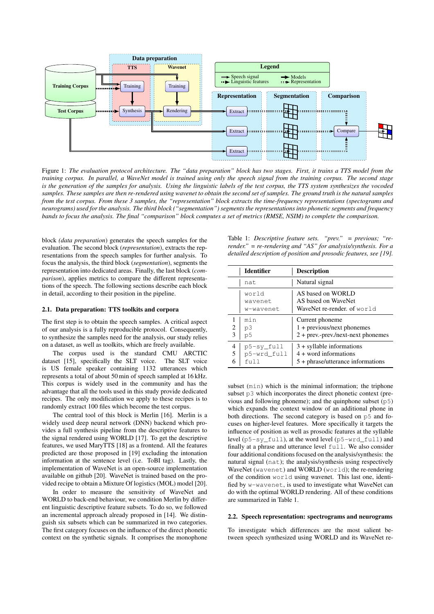

Figure 1: *The evaluation protocol architecture. The "data preparation" block has two stages. First, it trains a TTS model from the training corpus. In parallel, a WaveNet model is trained using only the speech signal from the training corpus. The second stage is the generation of the samples for analysis. Using the linguistic labels of the test corpus, the TTS system synthesizes the vocoded samples. These samples are then re-rendered using wavenet to obtain the second set of samples. The ground truth is the natural samples from the test corpus. From these 3 samples, the "representation" block extracts the time-frequency representations (spectograms and neurograms) used for the analysis. The third block ("segmentation") segments the representations into phonetic segments and frequency bands to focus the analysis. The final "comparison" block computes a set of metrics (RMSE, NSIM) to complete the comparison.*

block *(data preparation*) generates the speech samples for the evaluation. The second block (*representation*), extracts the representations from the speech samples for further analysis. To focus the analysis, the third block (*segmentation*), segments the representation into dedicated areas. Finally, the last block (*comparison*), applies metrics to compare the different representations of the speech. The following sections describe each block in detail, according to their position in the pipeline.

### 2.1. Data preparation: TTS toolkits and corpora

The first step is to obtain the speech samples. A critical aspect of our analysis is a fully reproducible protocol. Consequently, to synthesize the samples need for the analysis, our study relies on a dataset, as well as toolkits, which are freely available.

The corpus used is the standard CMU ARCTIC dataset [15], specifically the SLT voice. The SLT voice is US female speaker containing 1132 utterances which represents a total of about 50 min of speech sampled at 16 kHz. This corpus is widely used in the community and has the advantage that all the tools used in this study provide dedicated recipes. The only modification we apply to these recipes is to randomly extract 100 files which become the test corpus.

The central tool of this block is Merlin [16]. Merlin is a widely used deep neural network (DNN) backend which provides a full synthesis pipeline from the descriptive features to the signal rendered using WORLD [17]. To get the descriptive features, we used MaryTTS [18] as a frontend. All the features predicted are those proposed in [19] excluding the intonation information at the sentence level (i.e. ToBI tag). Lastly, the implementation of WaveNet is an open-source implementation available on github [20]. WaveNet is trained based on the provided recipe to obtain a Mixture Of logistics (MOL) model [20].

In order to measure the sensitivity of WaveNet and WORLD to back-end behaviour, we condition Merlin by different linguistic descriptive feature subsets. To do so, we followed an incremental approach already proposed in [14]. We distinguish six subsets which can be summarized in two categories. The first category focuses on the influence of the direct phonetic context on the synthetic signals. It comprises the monophone Table 1: *Descriptive feature sets. "prev." = previous; "rerender." = re-rendering and "AS" for analysis/synthesis. For a detailed description of position and prosodic features, see [19].*

|        | <b>Identifier</b>                     | <b>Description</b>                                                                            |
|--------|---------------------------------------|-----------------------------------------------------------------------------------------------|
|        | nat.                                  | Natural signal                                                                                |
|        | world<br>wavenet<br>w-wavenet         | AS based on WORLD<br>AS based on WaveNet<br>WaveNet re-render, of world                       |
| 2<br>3 | min<br>p3<br>p5                       | Current phoneme<br>$1 +$ previous/next phonemes<br>$2 +$ prev.-prev./next-next phonemes       |
| 4<br>5 | p5-sy_full<br>p5-wrd_full<br>$f$ $11$ | $3 +$ syllable informations<br>$4 +$ word informations<br>$5 + phrase/utterance$ informations |

subset (min) which is the minimal information; the triphone subset p3 which incorporates the direct phonetic context (previous and following phoneme); and the quinphone subset  $(p5)$ which expands the context window of an additional phone in both directions. The second category is based on p5 and focuses on higher-level features. More specifically it targets the influence of position as well as prosodic features at the syllable level (p5-sy\_full), at the word level (p5-wrd\_full) and finally at a phrase and utterance level full. We also consider four additional conditions focused on the analysis/synthesis: the natural signal (nat); the analysis/synthesis using respectively WaveNet (wavenet) and WORLD (world); the re-rendering of the condition world using wavenet. This last one, identified by w-wavenet, is used to investigate what WaveNet can do with the optimal WORLD rendering. All of these conditions are summarized in Table 1.

#### 2.2. Speech representation: spectrograms and neurograms

To investigate which differences are the most salient between speech synthesized using WORLD and its WaveNet re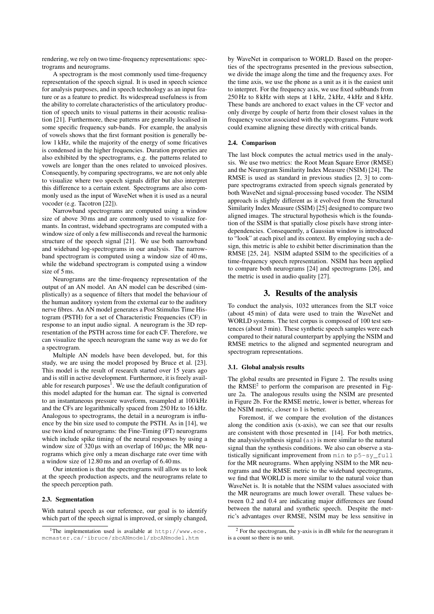rendering, we rely on two time-frequency representations: spectrograms and neurograms.

A spectrogram is the most commonly used time-frequency representation of the speech signal. It is used in speech science for analysis purposes, and in speech technology as an input feature or as a feature to predict. Its widespread usefulness is from the ability to correlate characteristics of the articulatory production of speech units to visual patterns in their acoustic realisation [21]. Furthermore, these patterns are generally localised in some specific frequency sub-bands. For example, the analysis of vowels shows that the first formant position is generally below 1 kHz, while the majority of the energy of some fricatives is condensed in the higher frequencies. Duration properties are also exhibited by the spectrograms, e.g. the patterns related to vowels are longer than the ones related to unvoiced plosives. Consequently, by comparing spectrograms, we are not only able to visualize where two speech signals differ but also interpret this difference to a certain extent. Spectrograms are also commonly used as the input of WaveNet when it is used as a neural vocoder (e.g. Tacotron [22]).

Narrowband spectrograms are computed using a window size of above 30 ms and are commonly used to visualize formants. In contrast, wideband spectrograms are computed with a window size of only a few milliseconds and reveal the harmonic structure of the speech signal [21]. We use both narrowband and wideband log-spectrograms in our analysis. The narrowband spectrogram is computed using a window size of 40 ms, while the wideband spectrogram is computed using a window size of 5 ms.

Neurograms are the time-frequency representation of the output of an AN model. An AN model can be described (simplistically) as a sequence of filters that model the behaviour of the human auditory system from the external ear to the auditory nerve fibres. An AN model generates a Post Stimulus Time Histogram (PSTH) for a set of Characteristic Frequencies (CF) in response to an input audio signal. A neurogram is the 3D representation of the PSTH across time for each CF. Therefore, we can visualize the speech neurogram the same way as we do for a spectrogram.

Multiple AN models have been developed, but, for this study, we are using the model proposed by Bruce et al. [23]. This model is the result of research started over 15 years ago and is still in active development. Furthermore, it is freely available for research purposes $^1$ . We use the default configuration of this model adapted for the human ear. The signal is converted to an instantaneous pressure waveform, resampled at 100 kHz and the CFs are logarithmically spaced from 250 Hz to 16 kHz. Analogous to spectrograms, the detail in a neurogram is influence by the bin size used to compute the PSTH. As in [14], we use two kind of neurograms: the Fine-Timing (FT) neurograms which include spike timing of the neural responses by using a window size of  $320 \,\mu s$  with an overlap of  $160 \,\mu s$ ; the MR neurograms which give only a mean discharge rate over time with a window size of 12.80 ms and an overlap of 6.40 ms.

Our intention is that the spectrograms will allow us to look at the speech production aspects, and the neurograms relate to the speech perception path.

#### 2.3. Segmentation

With natural speech as our reference, our goal is to identify which part of the speech signal is improved, or simply changed, by WaveNet in comparison to WORLD. Based on the properties of the spectrograms presented in the previous subsection, we divide the image along the time and the frequency axes. For the time axis, we use the phone as a unit as it is the easiest unit to interpret. For the frequency axis, we use fixed subbands from 250 Hz to 8 kHz with steps at 1 kHz, 2 kHz, 4 kHz and 8 kHz. These bands are anchored to exact values in the CF vector and only diverge by couple of hertz from their closest values in the frequency vector associated with the spectrograms. Future work could examine aligning these directly with critical bands.

#### 2.4. Comparison

The last block computes the actual metrics used in the analysis. We use two metrics: the Root Mean Square Error (RMSE) and the Neurogram Similarity Index Measure (NSIM) [24]. The RMSE is used as standard in previous studies [2, 3] to compare spectrograms extracted from speech signals generated by both WaveNet and signal-processing based vocoder. The NSIM approach is slightly different as it evolved from the Structural Similarity Index Measure (SSIM) [25] designed to compare two aligned images. The structural hypothesis which is the foundation of the SSIM is that spatially close pixels have strong interdependencies. Consequently, a Gaussian window is introduced to "look" at each pixel and its context. By employing such a design, this metric is able to exhibit better discrimination than the RMSE [25, 24]. NSIM adapted SSIM to the specificities of a time-frequency speech representation. NSIM has been applied to compare both neurograms [24] and spectrograms [26], and the metric is used in audio quality [27].

# 3. Results of the analysis

To conduct the analysis, 1032 utterances from the SLT voice (about 45 min) of data were used to train the WaveNet and WORLD systems. The test corpus is composed of 100 test sentences (about 3 min). These synthetic speech samples were each compared to their natural counterpart by applying the NSIM and RMSE metrics to the aligned and segmented neurogram and spectrogram representations.

#### 3.1. Global analysis results

The global results are presented in Figure 2. The results using the RMSE<sup>2</sup> to perform the comparison are presented in Figure 2a. The analogous results using the NSIM are presented in Figure 2b. For the RMSE metric, lower is better, whereas for the NSIM metric, closer to 1 is better.

Foremost, if we compare the evolution of the distances along the condition axis (x-axis), we can see that our results are consistent with those presented in [14]. For both metrics, the analysis/synthesis signal (as) is more similar to the natural signal than the synthesis conditions. We also can observe a statistically significant improvement from min to p5-sy\_full for the MR neurograms. When applying NSIM to the MR neurograms and the RMSE metric to the wideband spectrograms, we find that WORLD is more similar to the natural voice than WaveNet is. It is notable that the NSIM values associated with the MR neurograms are much lower overall. These values between 0.2 and 0.4 are indicating major differences are found between the natural and synthetic speech. Despite the metric's advantages over RMSE, NSIM may be less sensitive in

<sup>&</sup>lt;sup>1</sup>The implementation used is available at  $http://www.ece.$ mcmaster.ca/˜ibruce/zbcANmodel/zbcANmodel.htm

 $2$  For the spectrogram, the y-axis is in dB while for the neurogram it is a count so there is no unit.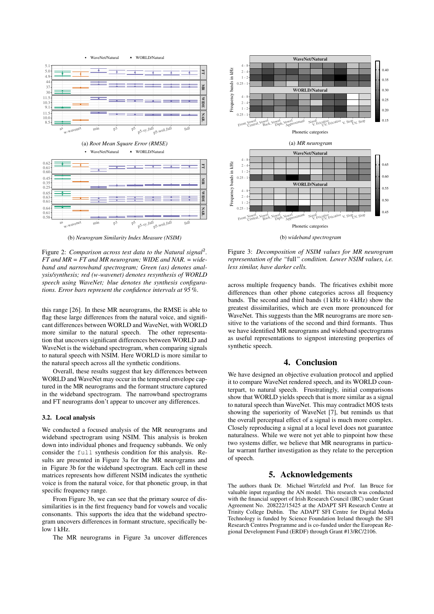

(b) *Neurogram Similarity Index Measure (NSIM)*

Figure 2: *Comparison across test data to the Natural signal*<sup>2</sup> *. FT and MR = FT and MR neurogram; WIDE and NAR. = wideband and narrowband spectrogram; Green (as) denotes analysis/synthesis; red (w-wavenet) denotes resynthesis of WORLD speech using WaveNet; blue denotes the synthesis configurations. Error bars represent the confidence intervals at 95 %.*

this range [26]. In these MR neurograms, the RMSE is able to flag these large differences from the natural voice, and significant differences between WORLD and WaveNet, with WORLD more similar to the natural speech. The other representation that uncovers significant differences between WORLD and WaveNet is the wideband spectrogram, when comparing signals to natural speech with NSIM. Here WORLD is more similar to the natural speech across all the synthetic conditions.

Overall, these results suggest that key differences between WORLD and WaveNet may occur in the temporal envelope captured in the MR neurograms and the formant structure captured in the wideband spectrogram. The narrowband spectrograms and FT neurograms don't appear to uncover any differences.

#### 3.2. Local analysis

We conducted a focused analysis of the MR neurograms and wideband spectrogram using NSIM. This analysis is broken down into individual phones and frequency subbands. We only consider the full synthesis condition for this analysis. Results are presented in Figure 3a for the MR neurograms and in Figure 3b for the wideband spectrogram. Each cell in these matrices represents how different NSIM indicates the synthetic voice is from the natural voice, for that phonetic group, in that specific frequency range.

From Figure 3b, we can see that the primary source of dissimilarities is in the first frequency band for vowels and vocalic consonants. This supports the idea that the wideband spectrogram uncovers differences in formant structure, specifically below 1 kHz.

The MR neurograms in Figure 3a uncover differences



Figure 3: *Decomposition of NSIM values for MR neurogram representation of the "*full*" condition. Lower NSIM values, i.e. less similar, have darker cells.*

across multiple frequency bands. The fricatives exhibit more differences than other phone categories across all frequency bands. The second and third bands (1 kHz to 4 kHz) show the greatest dissimilarities, which are even more pronounced for WaveNet. This suggests than the MR neurograms are more sensitive to the variations of the second and third formants. Thus we have identified MR neurograms and wideband spectrograms as useful representations to signpost interesting properties of synthetic speech.

# 4. Conclusion

We have designed an objective evaluation protocol and applied it to compare WaveNet rendered speech, and its WORLD counterpart, to natural speech. Frustratingly, initial comparisons show that WORLD yields speech that is more similar as a signal to natural speech than WaveNet. This may contradict MOS tests showing the superiority of WaveNet [7], but reminds us that the overall perceptual effect of a signal is much more complex. Closely reproducing a signal at a local level does not guarantee naturalness. While we were not yet able to pinpoint how these two systems differ, we believe that MR neurograms in particular warrant further investigation as they relate to the perception of speech.

# 5. Acknowledgements

The authors thank Dr. Michael Wirtzfeld and Prof. Ian Bruce for valuable input regarding the AN model. This research was conducted with the financial support of Irish Research Council (IRC) under Grant Agreement No. 208222/15425 at the ADAPT SFI Research Centre at Trinity College Dublin. The ADAPT SFI Centre for Digital Media Technology is funded by Science Foundation Ireland through the SFI Research Centres Programme and is co-funded under the European Regional Development Fund (ERDF) through Grant #13/RC/2106.